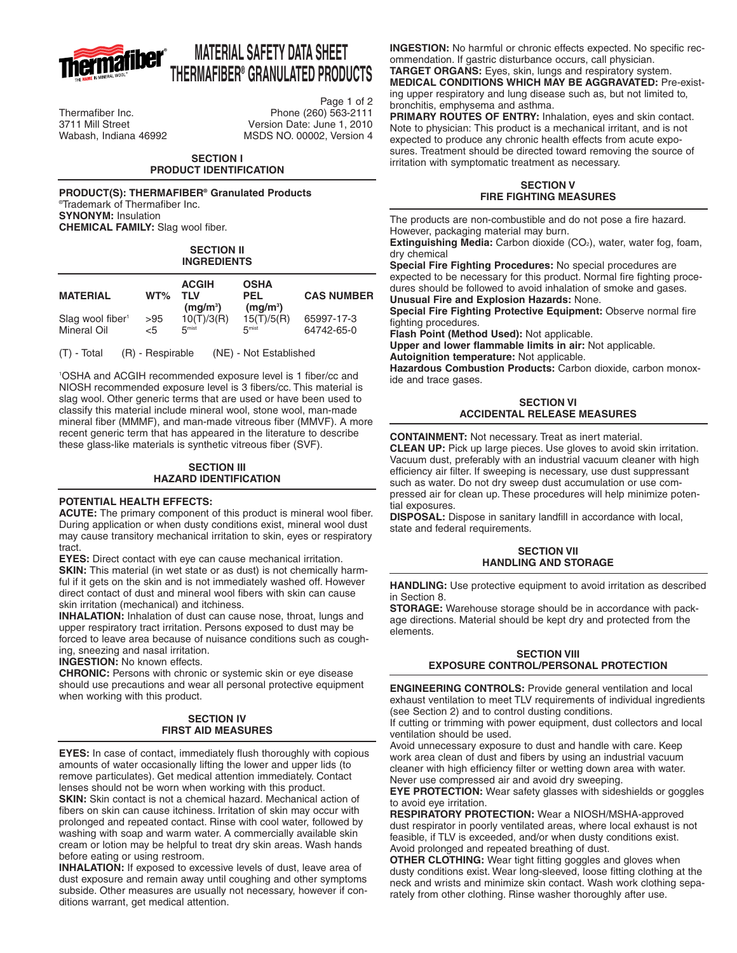

# **MATERIAL SAFETY DATA SHEET THERMAFIBER® GRANULATED PRODUCTS**

Page 1 of 2 Thermafiber Inc. Phone (260) 563-2111 Version Date: June 1, 2010 Wabash, Indiana 46992 MSDS NO. 00002, Version 4

#### **SECTION I PRODUCT IDENTIFICATION**

**PRODUCT(S): THERMAFIBER® Granulated Products** ®Trademark of Thermafiber Inc. **SYNONYM:** Insulation **CHEMICAL FAMILY:** Slag wool fiber.

#### **SECTION II INGREDIENTS**

| <b>MATERIAL</b>              | $WT\%$ | <b>ACGIH</b><br>TI V<br>(mq/m <sup>3</sup> ) | <b>OSHA</b><br><b>PEL</b><br>$(mq/m^3)$ | <b>CAS NUMBER</b> |
|------------------------------|--------|----------------------------------------------|-----------------------------------------|-------------------|
| Slag wool fiber <sup>1</sup> | >95    | 10(T)/3(R)                                   | 15(T)/5(R)                              | 65997-17-3        |
| Mineral Oil                  | <5     | 5 <sup>mist</sup>                            | 5 <sup>mist</sup>                       | 64742-65-0        |

(T) - Total (R) - Respirable (NE) - Not Established

1 OSHA and ACGIH recommended exposure level is 1 fiber/cc and NIOSH recommended exposure level is 3 fibers/cc. This material is slag wool. Other generic terms that are used or have been used to classify this material include mineral wool, stone wool, man-made mineral fiber (MMMF), and man-made vitreous fiber (MMVF). A more recent generic term that has appeared in the literature to describe these glass-like materials is synthetic vitreous fiber (SVF).

# **SECTION III HAZARD IDENTIFICATION**

# **POTENTIAL HEALTH EFFECTS:**

**ACUTE:** The primary component of this product is mineral wool fiber. During application or when dusty conditions exist, mineral wool dust may cause transitory mechanical irritation to skin, eyes or respiratory tract.

**EYES:** Direct contact with eye can cause mechanical irritation.

**SKIN:** This material (in wet state or as dust) is not chemically harmful if it gets on the skin and is not immediately washed off. However direct contact of dust and mineral wool fibers with skin can cause skin irritation (mechanical) and itchiness.

**INHALATION:** Inhalation of dust can cause nose, throat, lungs and upper respiratory tract irritation. Persons exposed to dust may be forced to leave area because of nuisance conditions such as coughing, sneezing and nasal irritation.

**INGESTION:** No known effects.

**CHRONIC:** Persons with chronic or systemic skin or eye disease should use precautions and wear all personal protective equipment when working with this product.

#### **SECTION IV FIRST AID MEASURES**

**EYES:** In case of contact, immediately flush thoroughly with copious amounts of water occasionally lifting the lower and upper lids (to remove particulates). Get medical attention immediately. Contact lenses should not be worn when working with this product. **SKIN:** Skin contact is not a chemical hazard. Mechanical action of fibers on skin can cause itchiness. Irritation of skin may occur with prolonged and repeated contact. Rinse with cool water, followed by washing with soap and warm water. A commercially available skin

cream or lotion may be helpful to treat dry skin areas. Wash hands before eating or using restroom.

**INHALATION:** If exposed to excessive levels of dust, leave area of dust exposure and remain away until coughing and other symptoms subside. Other measures are usually not necessary, however if conditions warrant, get medical attention.

**INGESTION:** No harmful or chronic effects expected. No specific recommendation. If gastric disturbance occurs, call physician.

**TARGET ORGANS:** Eyes, skin, lungs and respiratory system.

**MEDICAL CONDITIONS WHICH MAY BE AGGRAVATED:** Pre-existing upper respiratory and lung disease such as, but not limited to, bronchitis, emphysema and asthma.

**PRIMARY ROUTES OF ENTRY:** Inhalation, eyes and skin contact. Note to physician: This product is a mechanical irritant, and is not expected to produce any chronic health effects from acute exposures. Treatment should be directed toward removing the source of irritation with symptomatic treatment as necessary.

## **SECTION V FIRE FIGHTING MEASURES**

The products are non-combustible and do not pose a fire hazard. However, packaging material may burn.

**Extinguishing Media:** Carbon dioxide (CO<sub>2</sub>), water, water fog, foam, dry chemical

**Special Fire Fighting Procedures:** No special procedures are expected to be necessary for this product. Normal fire fighting procedures should be followed to avoid inhalation of smoke and gases. **Unusual Fire and Explosion Hazards:** None.

**Special Fire Fighting Protective Equipment:** Observe normal fire fighting procedures.

**Flash Point (Method Used):** Not applicable.

**Upper and lower flammable limits in air:** Not applicable. **Autoignition temperature:** Not applicable.

**Hazardous Combustion Products:** Carbon dioxide, carbon monoxide and trace gases.

# **SECTION VI ACCIDENTAL RELEASE MEASURES**

**CONTAINMENT:** Not necessary. Treat as inert material. **CLEAN UP:** Pick up large pieces. Use gloves to avoid skin irritation. Vacuum dust, preferably with an industrial vacuum cleaner with high efficiency air filter. If sweeping is necessary, use dust suppressant such as water. Do not dry sweep dust accumulation or use compressed air for clean up. These procedures will help minimize potential exposures.

**DISPOSAL:** Dispose in sanitary landfill in accordance with local, state and federal requirements.

# **SECTION VII HANDLING AND STORAGE**

**HANDLING:** Use protective equipment to avoid irritation as described in Section 8.

**STORAGE:** Warehouse storage should be in accordance with package directions. Material should be kept dry and protected from the elements.

# **SECTION VIII EXPOSURE CONTROL/PERSONAL PROTECTION**

**ENGINEERING CONTROLS:** Provide general ventilation and local exhaust ventilation to meet TLV requirements of individual ingredients (see Section 2) and to control dusting conditions.

If cutting or trimming with power equipment, dust collectors and local ventilation should be used.

Avoid unnecessary exposure to dust and handle with care. Keep work area clean of dust and fibers by using an industrial vacuum cleaner with high efficiency filter or wetting down area with water. Never use compressed air and avoid dry sweeping.

**EYE PROTECTION:** Wear safety glasses with sideshields or goggles to avoid eye irritation.

**RESPIRATORY PROTECTION:** Wear a NIOSH/MSHA-approved dust respirator in poorly ventilated areas, where local exhaust is not feasible, if TLV is exceeded, and/or when dusty conditions exist. Avoid prolonged and repeated breathing of dust.

**OTHER CLOTHING:** Wear tight fitting goggles and gloves when dusty conditions exist. Wear long-sleeved, loose fitting clothing at the neck and wrists and minimize skin contact. Wash work clothing separately from other clothing. Rinse washer thoroughly after use.